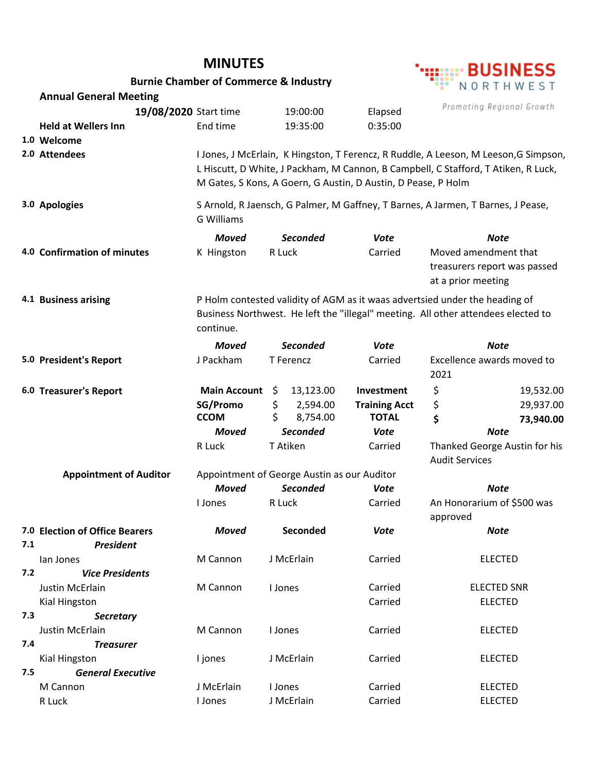|                                                                              |                                                    |                                                                                                       | :::::: BUSINESS |                      |                                                                                   |  |  |  |  |
|------------------------------------------------------------------------------|----------------------------------------------------|-------------------------------------------------------------------------------------------------------|-----------------|----------------------|-----------------------------------------------------------------------------------|--|--|--|--|
|                                                                              |                                                    | <b>Burnie Chamber of Commerce &amp; Industry</b>                                                      |                 |                      | NORTHWEST                                                                         |  |  |  |  |
|                                                                              | <b>Annual General Meeting</b>                      |                                                                                                       |                 |                      |                                                                                   |  |  |  |  |
|                                                                              | 19/08/2020 Start time                              |                                                                                                       | 19:00:00        | Elapsed              | Promoting Regional Growth                                                         |  |  |  |  |
|                                                                              | <b>Held at Wellers Inn</b>                         | End time                                                                                              | 19:35:00        | 0:35:00              |                                                                                   |  |  |  |  |
|                                                                              | 1.0 Welcome                                        |                                                                                                       |                 |                      |                                                                                   |  |  |  |  |
|                                                                              | 2.0 Attendees                                      | I Jones, J McErlain, K Hingston, T Ferencz, R Ruddle, A Leeson, M Leeson, G Simpson,                  |                 |                      |                                                                                   |  |  |  |  |
|                                                                              |                                                    | L Hiscutt, D White, J Packham, M Cannon, B Campbell, C Stafford, T Atiken, R Luck,                    |                 |                      |                                                                                   |  |  |  |  |
|                                                                              |                                                    | M Gates, S Kons, A Goern, G Austin, D Austin, D Pease, P Holm                                         |                 |                      |                                                                                   |  |  |  |  |
|                                                                              | 3.0 Apologies                                      | S Arnold, R Jaensch, G Palmer, M Gaffney, T Barnes, A Jarmen, T Barnes, J Pease,<br><b>G Williams</b> |                 |                      |                                                                                   |  |  |  |  |
|                                                                              |                                                    | <b>Moved</b>                                                                                          | <b>Seconded</b> | <b>Vote</b>          | <b>Note</b>                                                                       |  |  |  |  |
|                                                                              | 4.0 Confirmation of minutes                        | K Hingston                                                                                            | R Luck          | Carried              | Moved amendment that                                                              |  |  |  |  |
|                                                                              |                                                    |                                                                                                       |                 |                      | treasurers report was passed                                                      |  |  |  |  |
|                                                                              |                                                    |                                                                                                       |                 |                      | at a prior meeting                                                                |  |  |  |  |
|                                                                              | 4.1 Business arising                               | P Holm contested validity of AGM as it waas advertsied under the heading of                           |                 |                      |                                                                                   |  |  |  |  |
|                                                                              |                                                    |                                                                                                       |                 |                      | Business Northwest. He left the "illegal" meeting. All other attendees elected to |  |  |  |  |
|                                                                              |                                                    | continue.                                                                                             |                 |                      |                                                                                   |  |  |  |  |
|                                                                              |                                                    | <b>Moved</b>                                                                                          | <b>Seconded</b> | <b>Vote</b>          | <b>Note</b>                                                                       |  |  |  |  |
|                                                                              | 5.0 President's Report                             | J Packham                                                                                             | T Ferencz       |                      | Excellence awards moved to<br>2021                                                |  |  |  |  |
|                                                                              |                                                    |                                                                                                       |                 |                      |                                                                                   |  |  |  |  |
|                                                                              | 6.0 Treasurer's Report                             | <b>Main Account</b>                                                                                   | \$<br>13,123.00 | Investment           | \$<br>19,532.00                                                                   |  |  |  |  |
|                                                                              |                                                    | SG/Promo                                                                                              | \$<br>2,594.00  | <b>Training Acct</b> | \$<br>29,937.00                                                                   |  |  |  |  |
|                                                                              |                                                    | <b>CCOM</b>                                                                                           | \$<br>8,754.00  | <b>TOTAL</b>         | \$<br>73,940.00                                                                   |  |  |  |  |
|                                                                              |                                                    | <b>Moved</b>                                                                                          | <b>Seconded</b> | Vote                 | <b>Note</b>                                                                       |  |  |  |  |
|                                                                              |                                                    | R Luck                                                                                                | T Atiken        | Carried              | Thanked George Austin for his                                                     |  |  |  |  |
| <b>Audit Services</b>                                                        |                                                    |                                                                                                       |                 |                      |                                                                                   |  |  |  |  |
| Appointment of George Austin as our Auditor<br><b>Appointment of Auditor</b> |                                                    |                                                                                                       |                 |                      |                                                                                   |  |  |  |  |
|                                                                              |                                                    | <b>Moved</b><br><b>Seconded</b>                                                                       |                 | Vote                 | Note                                                                              |  |  |  |  |
|                                                                              |                                                    | I Jones                                                                                               | R Luck          | Carried              | An Honorarium of \$500 was                                                        |  |  |  |  |
|                                                                              |                                                    |                                                                                                       |                 |                      | approved                                                                          |  |  |  |  |
| 7.1                                                                          | 7.0 Election of Office Bearers<br><b>President</b> | <b>Moved</b>                                                                                          | Seconded        | <b>Vote</b>          | <b>Note</b>                                                                       |  |  |  |  |
|                                                                              | lan Jones                                          | M Cannon                                                                                              | J McErlain      | Carried              | <b>ELECTED</b>                                                                    |  |  |  |  |
| 7.2                                                                          | <b>Vice Presidents</b>                             |                                                                                                       |                 |                      |                                                                                   |  |  |  |  |
|                                                                              | Justin McErlain                                    | M Cannon                                                                                              | I Jones         | Carried              | <b>ELECTED SNR</b>                                                                |  |  |  |  |
|                                                                              | Kial Hingston                                      |                                                                                                       |                 | Carried              | <b>ELECTED</b>                                                                    |  |  |  |  |
| 7.3                                                                          | <b>Secretary</b>                                   |                                                                                                       |                 |                      |                                                                                   |  |  |  |  |
|                                                                              | Justin McErlain                                    | M Cannon                                                                                              | I Jones         | Carried              | <b>ELECTED</b>                                                                    |  |  |  |  |
| 7.4                                                                          | <b>Treasurer</b>                                   |                                                                                                       |                 |                      |                                                                                   |  |  |  |  |
|                                                                              | Kial Hingston                                      | I jones                                                                                               | J McErlain      | Carried              | <b>ELECTED</b>                                                                    |  |  |  |  |
| 7.5                                                                          | <b>General Executive</b>                           |                                                                                                       |                 |                      |                                                                                   |  |  |  |  |
|                                                                              | M Cannon                                           | J McErlain                                                                                            | I Jones         | Carried              | <b>ELECTED</b>                                                                    |  |  |  |  |
|                                                                              | R Luck                                             | I Jones                                                                                               | J McErlain      | Carried              | <b>ELECTED</b>                                                                    |  |  |  |  |